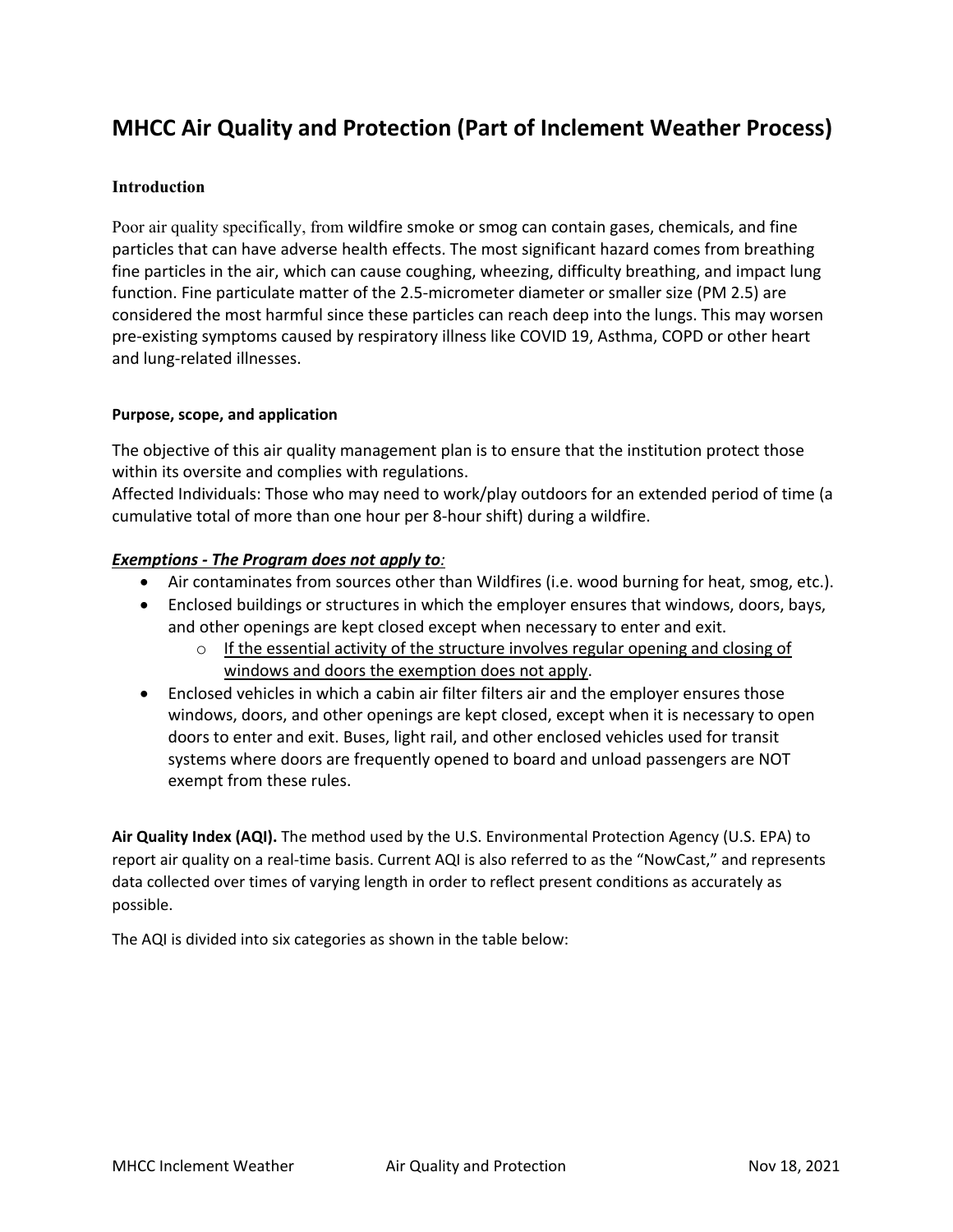### **MHCC Air Quality and Protection (Part of Inclement Weather Process)**

#### **Introduction**

Poor air quality specifically, from wildfire smoke or smog can contain gases, chemicals, and fine particles that can have adverse health effects. The most significant hazard comes from breathing fine particles in the air, which can cause coughing, wheezing, difficulty breathing, and impact lung function. Fine particulate matter of the 2.5-micrometer diameter or smaller size (PM 2.5) are considered the most harmful since these particles can reach deep into the lungs. This may worsen pre-existing symptoms caused by respiratory illness like COVID 19, Asthma, COPD or other heart and lung-related illnesses.

#### **Purpose, scope, and application**

The objective of this air quality management plan is to ensure that the institution protect those within its oversite and complies with regulations.

Affected Individuals: Those who may need to work/play outdoors for an extended period of time (a cumulative total of more than one hour per 8-hour shift) during a wildfire.

#### *Exemptions - The Program does not apply to:*

- Air contaminates from sources other than Wildfires (i.e. wood burning for heat, smog, etc.).
- Enclosed buildings or structures in which the employer ensures that windows, doors, bays, and other openings are kept closed except when necessary to enter and exit.
	- o If the essential activity of the structure involves regular opening and closing of windows and doors the exemption does not apply.
- Enclosed vehicles in which a cabin air filter filters air and the employer ensures those windows, doors, and other openings are kept closed, except when it is necessary to open doors to enter and exit. Buses, light rail, and other enclosed vehicles used for transit systems where doors are frequently opened to board and unload passengers are NOT exempt from these rules.

**Air Quality Index (AQI).** The method used by the U.S. Environmental Protection Agency (U.S. EPA) to report air quality on a real-time basis. Current AQI is also referred to as the "NowCast," and represents data collected over times of varying length in order to reflect present conditions as accurately as possible.

The AQI is divided into six categories as shown in the table below: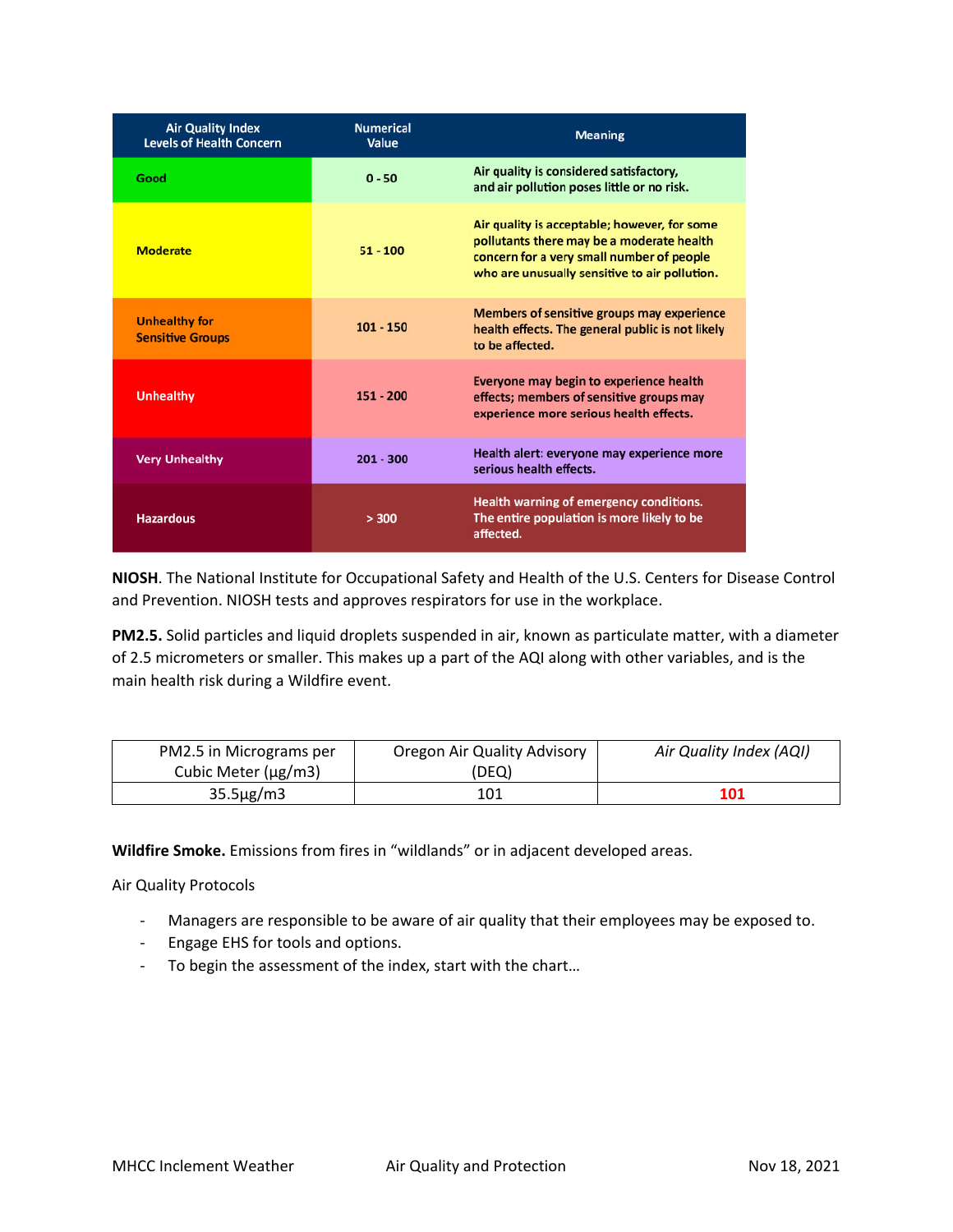| <b>Air Quality Index</b><br><b>Levels of Health Concern</b> | <b>Numerical</b><br>Value | <b>Meaning</b>                                                                                                                                                                          |
|-------------------------------------------------------------|---------------------------|-----------------------------------------------------------------------------------------------------------------------------------------------------------------------------------------|
| Good                                                        | $0 - 50$                  | Air quality is considered satisfactory,<br>and air pollution poses little or no risk.                                                                                                   |
| <b>Moderate</b>                                             | $51 - 100$                | Air quality is acceptable; however, for some<br>pollutants there may be a moderate health<br>concern for a very small number of people<br>who are unusually sensitive to air pollution. |
| <b>Unhealthy for</b><br><b>Sensitive Groups</b>             | $101 - 150$               | Members of sensitive groups may experience<br>health effects. The general public is not likely<br>to be affected.                                                                       |
| <b>Unhealthy</b>                                            | $151 - 200$               | Everyone may begin to experience health<br>effects; members of sensitive groups may<br>experience more serious health effects.                                                          |
| <b>Very Unhealthy</b>                                       | $201 - 300$               | Health alert: everyone may experience more<br>serious health effects.                                                                                                                   |
| <b>Hazardous</b>                                            | > 300                     | Health warning of emergency conditions.<br>The entire population is more likely to be<br>affected.                                                                                      |

**NIOSH**. The National Institute for Occupational Safety and Health of the U.S. Centers for Disease Control and Prevention. NIOSH tests and approves respirators for use in the workplace.

**PM2.5.** Solid particles and liquid droplets suspended in air, known as particulate matter, with a diameter of 2.5 micrometers or smaller. This makes up a part of the AQI along with other variables, and is the main health risk during a Wildfire event.

| PM2.5 in Micrograms per | Oregon Air Quality Advisory | Air Quality Index (AQI) |
|-------------------------|-----------------------------|-------------------------|
| Cubic Meter (µg/m3)     | (DEQ)                       |                         |
| $35.5\mu$ g/m3          | 101                         | 101                     |

**Wildfire Smoke.** Emissions from fires in "wildlands" or in adjacent developed areas.

Air Quality Protocols

- Managers are responsible to be aware of air quality that their employees may be exposed to.
- Engage EHS for tools and options.
- To begin the assessment of the index, start with the chart…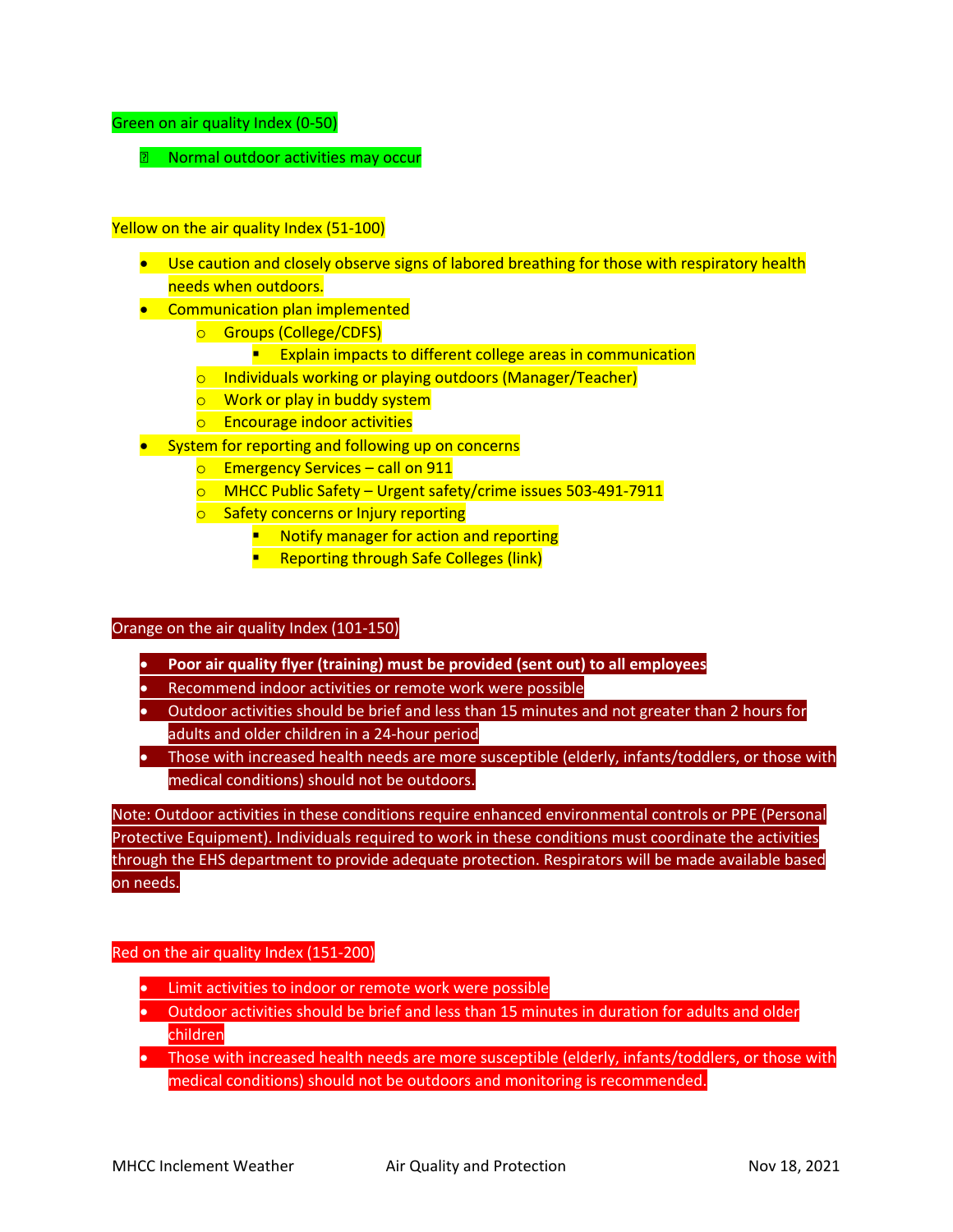#### Green on air quality Index (0-50)

**2** Normal outdoor activities may occur

#### Yellow on the air quality Index (51-100)

- Use caution and closely observe signs of labored breathing for those with respiratory health needs when outdoors.
- Communication plan implemented
	- o Groups (College/CDFS)
		- **Explain impacts to different college areas in communication**
	- o Individuals working or playing outdoors (Manager/Teacher)
	- o Work or play in buddy system
	- o Encourage indoor activities
- System for reporting and following up on concerns
	- o Emergency Services call on 911
	- o MHCC Public Safety Urgent safety/crime issues 503-491-7911
	- **o** Safety concerns or Injury reporting
		- **Notify manager for action and reporting**
		- **Reporting through Safe Colleges (link)**

#### Orange on the air quality Index (101-150)

- **Poor air quality flyer (training) must be provided (sent out) to all employees**
- Recommend indoor activities or remote work were possible
- Outdoor activities should be brief and less than 15 minutes and not greater than 2 hours for adults and older children in a 24-hour period
- Those with increased health needs are more susceptible (elderly, infants/toddlers, or those with medical conditions) should not be outdoors.

Note: Outdoor activities in these conditions require enhanced environmental controls or PPE (Personal Protective Equipment). Individuals required to work in these conditions must coordinate the activities through the EHS department to provide adequate protection. Respirators will be made available based on needs.

#### Red on the air quality Index (151-200)

- Limit activities to indoor or remote work were possible
- Outdoor activities should be brief and less than 15 minutes in duration for adults and older children
- Those with increased health needs are more susceptible (elderly, infants/toddlers, or those with medical conditions) should not be outdoors and monitoring is recommended.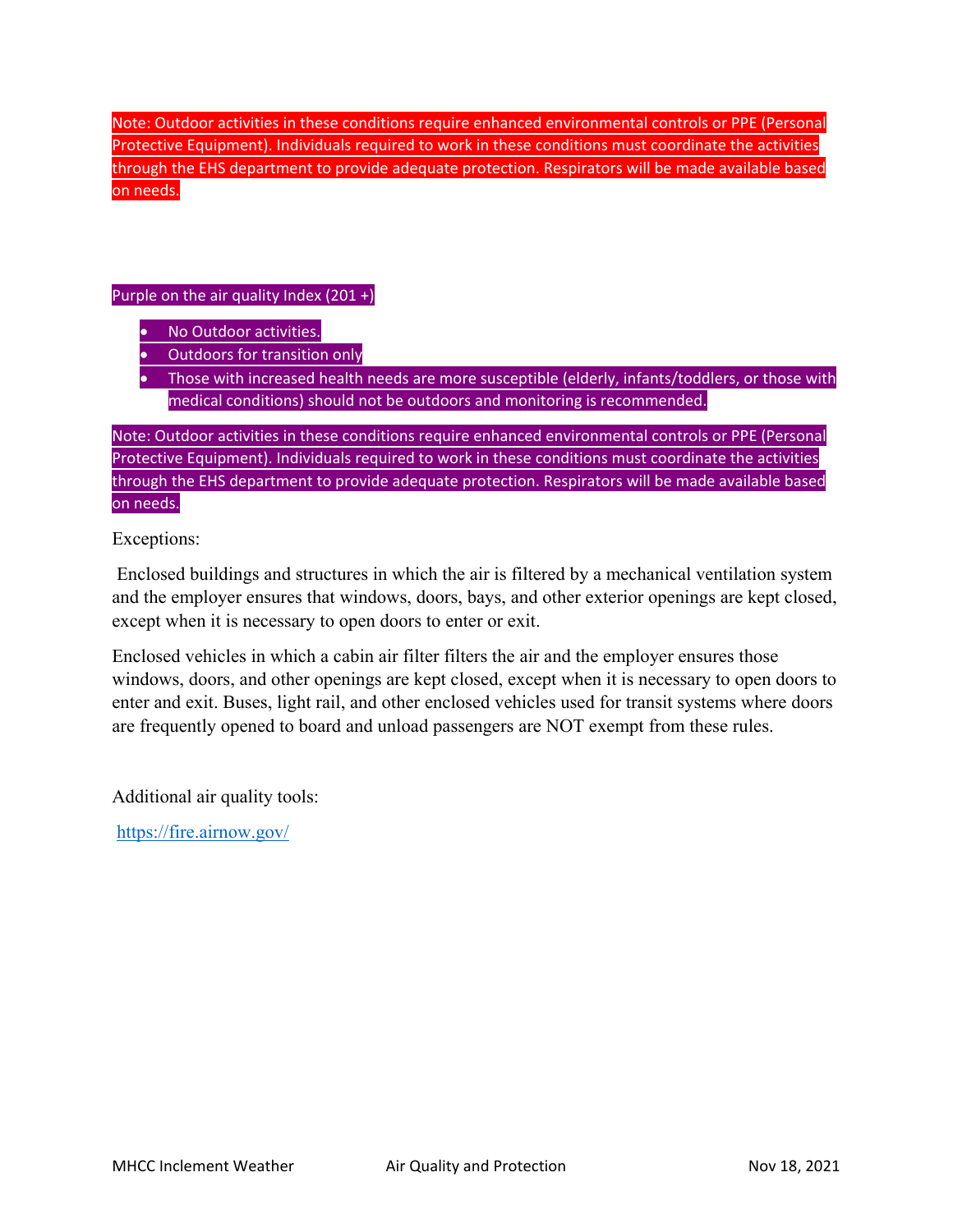Note: Outdoor activities in these conditions require enhanced environmental controls or PPE (Personal Protective Equipment). Individuals required to work in these conditions must coordinate the activities through the EHS department to provide adequate protection. Respirators will be made available based on needs.

#### Purple on the air quality Index (201 +)

- No Outdoor activities.
- Outdoors for transition only
- Those with increased health needs are more susceptible (elderly, infants/toddlers, or those with medical conditions) should not be outdoors and monitoring is recommended.

Note: Outdoor activities in these conditions require enhanced environmental controls or PPE (Personal Protective Equipment). Individuals required to work in these conditions must coordinate the activities through the EHS department to provide adequate protection. Respirators will be made available based on needs.

Exceptions:

Enclosed buildings and structures in which the air is filtered by a mechanical ventilation system and the employer ensures that windows, doors, bays, and other exterior openings are kept closed, except when it is necessary to open doors to enter or exit.

Enclosed vehicles in which a cabin air filter filters the air and the employer ensures those windows, doors, and other openings are kept closed, except when it is necessary to open doors to enter and exit. Buses, light rail, and other enclosed vehicles used for transit systems where doors are frequently opened to board and unload passengers are NOT exempt from these rules.

Additional air quality tools:

<https://fire.airnow.gov/>